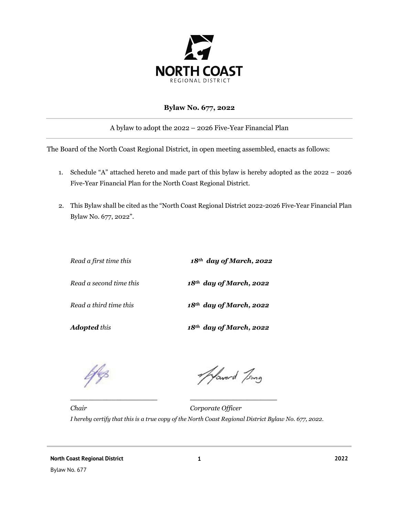

# **Bylaw No. 677, 2022**

A bylaw to adopt the 2022 – 2026 Five-Year Financial Plan

The Board of the North Coast Regional District, in open meeting assembled, enacts as follows:

- 1. Schedule "A" attached hereto and made part of this bylaw is hereby adopted as the 2022 2026 Five-Year Financial Plan for the North Coast Regional District.
- 2. This Bylaw shall be cited as the "North Coast Regional District 2022-2026 Five-Year Financial Plan Bylaw No. 677, 2022".

| Read a first time this  | $18th$ day of March, 2022           |  |  |  |  |
|-------------------------|-------------------------------------|--|--|--|--|
| Read a second time this | $18th$ day of March, 2022           |  |  |  |  |
| Read a third time this  | $18th$ day of March, 2022           |  |  |  |  |
| <b>Adopted</b> this     | 18 <sup>th</sup> day of March, 2022 |  |  |  |  |

**\_\_\_\_\_\_\_\_\_\_\_\_\_\_\_\_\_\_\_ \_\_\_\_\_\_\_\_\_\_\_\_\_\_\_\_\_\_\_**

Afaverd Jong

*Chair Corporate Officer I hereby certify that this is a true copy of the North Coast Regional District Bylaw No. 677, 2022.*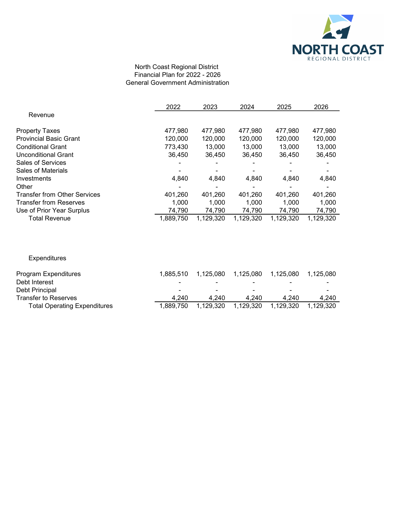

#### North Coast Regional District Financial Plan for 2022 - 2026 General Government Administration

|                                     | 2022      | 2023      | 2024      | 2025      | 2026      |
|-------------------------------------|-----------|-----------|-----------|-----------|-----------|
| Revenue                             |           |           |           |           |           |
| <b>Property Taxes</b>               | 477,980   | 477.980   | 477.980   | 477.980   | 477.980   |
| <b>Provincial Basic Grant</b>       | 120,000   | 120,000   | 120,000   | 120,000   | 120,000   |
| <b>Conditional Grant</b>            | 773.430   | 13.000    | 13.000    | 13,000    | 13.000    |
| Unconditional Grant                 | 36.450    | 36.450    | 36.450    | 36.450    | 36,450    |
| <b>Sales of Services</b>            |           |           |           |           |           |
| Sales of Materials                  |           |           |           |           |           |
| Investments                         | 4.840     | 4,840     | 4.840     | 4.840     | 4,840     |
| Other                               |           |           |           |           |           |
| <b>Transfer from Other Services</b> | 401,260   | 401,260   | 401,260   | 401,260   | 401,260   |
| <b>Transfer from Reserves</b>       | 1.000     | 1.000     | 1.000     | 1.000     | 1.000     |
| Use of Prior Year Surplus           | 74,790    | 74,790    | 74,790    | 74,790    | 74,790    |
| <b>Total Revenue</b>                | 1,889,750 | 1,129,320 | 1,129,320 | 1,129,320 | 1,129,320 |

Expenditures

| Program Expenditures                | 1.885.510 | 1.125.080                |           |                          | 1.125.080 |
|-------------------------------------|-----------|--------------------------|-----------|--------------------------|-----------|
| Debt Interest                       |           |                          |           |                          | -         |
| Debt Principal                      | -         | $\overline{\phantom{0}}$ | -         | $\overline{\phantom{0}}$ | -         |
| Transfer to Reserves                | 4.240     | 4.240                    | 4.240     | 4.240                    | 4.240     |
| <b>Total Operating Expenditures</b> | 1.889.750 | 1.129.320                | 1.129.320 | 1.129.320                | 1.129.320 |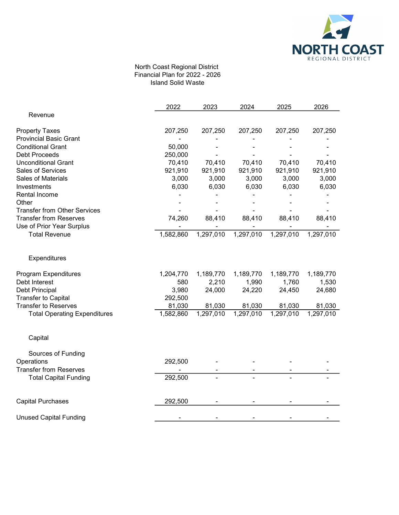

### North Coast Regional District Financial Plan for 2022 - 2026 Island Solid Waste

|                                     | 2022      | 2023      | 2024      | 2025      | 2026      |
|-------------------------------------|-----------|-----------|-----------|-----------|-----------|
| Revenue                             |           |           |           |           |           |
| <b>Property Taxes</b>               | 207,250   | 207,250   | 207,250   | 207,250   | 207,250   |
| <b>Provincial Basic Grant</b>       |           |           |           |           |           |
| <b>Conditional Grant</b>            | 50,000    |           |           |           |           |
| <b>Debt Proceeds</b>                | 250,000   |           |           |           |           |
| <b>Unconditional Grant</b>          | 70,410    | 70,410    | 70,410    | 70,410    | 70,410    |
| Sales of Services                   | 921,910   | 921,910   | 921,910   | 921,910   | 921,910   |
| Sales of Materials                  | 3,000     | 3,000     | 3,000     | 3,000     | 3,000     |
| Investments                         | 6,030     | 6,030     | 6,030     | 6,030     | 6,030     |
| Rental Income                       |           |           |           |           |           |
| Other                               |           |           |           |           |           |
| <b>Transfer from Other Services</b> |           |           |           |           |           |
| <b>Transfer from Reserves</b>       | 74,260    | 88,410    | 88,410    | 88,410    | 88,410    |
| Use of Prior Year Surplus           |           |           |           |           |           |
| <b>Total Revenue</b>                | 1,582,860 | 1,297,010 | 1,297,010 | 1,297,010 | 1,297,010 |
| Expenditures                        |           |           |           |           |           |
| Program Expenditures                | 1,204,770 | 1,189,770 | 1,189,770 | 1,189,770 | 1,189,770 |
| Debt Interest                       | 580       | 2,210     | 1,990     | 1,760     | 1,530     |
| Debt Principal                      | 3,980     | 24,000    | 24,220    | 24,450    | 24,680    |
| <b>Transfer to Capital</b>          | 292,500   |           |           |           |           |
| <b>Transfer to Reserves</b>         | 81,030    | 81,030    | 81,030    | 81,030    | 81,030    |
| <b>Total Operating Expenditures</b> | 1,582,860 | 1,297,010 | 1,297,010 | 1,297,010 | 1,297,010 |
| Capital                             |           |           |           |           |           |
| Sources of Funding                  |           |           |           |           |           |
| Operations                          | 292,500   |           |           |           |           |
| <b>Transfer from Reserves</b>       |           |           |           |           |           |
| <b>Total Capital Funding</b>        | 292,500   |           |           |           |           |
| <b>Capital Purchases</b>            | 292,500   |           |           |           |           |
|                                     |           |           |           |           |           |
| <b>Unused Capital Funding</b>       |           |           |           |           |           |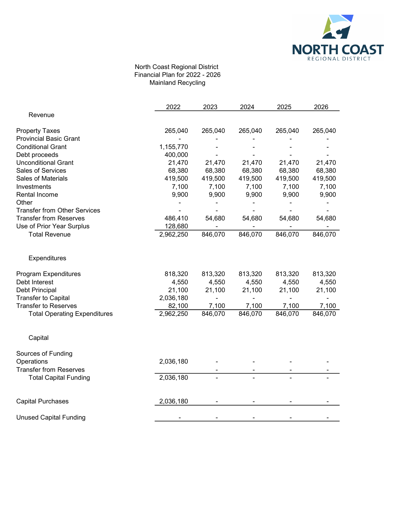

## North Coast Regional District Financial Plan for 2022 - 2026 Mainland Recycling

|                                     | 2022      | 2023           | 2024           | 2025    | 2026    |
|-------------------------------------|-----------|----------------|----------------|---------|---------|
| Revenue                             |           |                |                |         |         |
| <b>Property Taxes</b>               | 265,040   | 265,040        | 265,040        | 265,040 | 265,040 |
| <b>Provincial Basic Grant</b>       |           |                |                |         |         |
| <b>Conditional Grant</b>            | 1,155,770 |                |                |         |         |
| Debt proceeds                       | 400,000   |                |                |         |         |
| <b>Unconditional Grant</b>          | 21,470    | 21,470         | 21,470         | 21,470  | 21,470  |
| Sales of Services                   | 68,380    | 68,380         | 68,380         | 68,380  | 68,380  |
| <b>Sales of Materials</b>           | 419,500   | 419,500        | 419,500        | 419,500 | 419,500 |
| Investments                         | 7,100     | 7,100          | 7,100          | 7,100   | 7,100   |
| <b>Rental Income</b>                | 9,900     | 9,900          | 9,900          | 9,900   | 9,900   |
| Other                               |           |                |                |         |         |
| <b>Transfer from Other Services</b> |           |                |                |         |         |
| <b>Transfer from Reserves</b>       | 486,410   | 54,680         | 54,680         | 54,680  | 54,680  |
| Use of Prior Year Surplus           | 128,680   |                |                |         |         |
| <b>Total Revenue</b>                | 2,962,250 | 846,070        | 846,070        | 846,070 | 846,070 |
| Expenditures                        |           |                |                |         |         |
| Program Expenditures                | 818,320   | 813,320        | 813,320        | 813,320 | 813,320 |
| Debt Interest                       | 4,550     | 4,550          | 4,550          | 4,550   | 4,550   |
| Debt Principal                      | 21,100    | 21,100         | 21,100         | 21,100  | 21,100  |
| <b>Transfer to Capital</b>          | 2,036,180 | $\blacksquare$ | $\blacksquare$ |         |         |
| <b>Transfer to Reserves</b>         | 82,100    | 7,100          | 7,100          | 7,100   | 7,100   |
| <b>Total Operating Expenditures</b> | 2,962,250 | 846,070        | 846,070        | 846,070 | 846,070 |
| Capital                             |           |                |                |         |         |
| Sources of Funding                  |           |                |                |         |         |
| Operations                          | 2,036,180 |                |                |         |         |
| <b>Transfer from Reserves</b>       |           |                |                |         |         |
| <b>Total Capital Funding</b>        | 2,036,180 |                |                |         |         |
|                                     |           |                |                |         |         |
| <b>Capital Purchases</b>            | 2,036,180 |                |                |         |         |
| <b>Unused Capital Funding</b>       |           |                |                |         |         |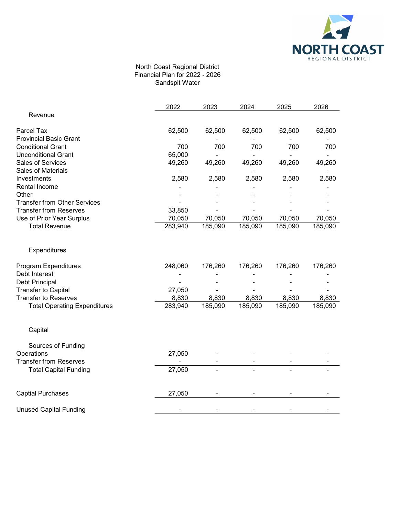

## North Coast Regional District Financial Plan for 2022 - 2026 Sandspit Water

|                                     | 2022    | 2023    | 2024    | 2025    | 2026    |
|-------------------------------------|---------|---------|---------|---------|---------|
| Revenue                             |         |         |         |         |         |
| Parcel Tax                          | 62,500  | 62,500  | 62,500  | 62,500  | 62,500  |
| <b>Provincial Basic Grant</b>       |         |         |         |         |         |
| <b>Conditional Grant</b>            | 700     | 700     | 700     | 700     | 700     |
| <b>Unconditional Grant</b>          | 65,000  |         |         |         |         |
| Sales of Services                   | 49,260  | 49,260  | 49,260  | 49,260  | 49,260  |
| <b>Sales of Materials</b>           |         |         |         |         |         |
| Investments                         | 2,580   | 2,580   | 2,580   | 2,580   | 2,580   |
| Rental Income                       |         |         |         |         |         |
| Other                               |         |         |         |         |         |
| <b>Transfer from Other Services</b> |         |         |         |         |         |
| <b>Transfer from Reserves</b>       | 33,850  |         |         |         |         |
| Use of Prior Year Surplus           | 70,050  | 70,050  | 70,050  | 70,050  | 70,050  |
| <b>Total Revenue</b>                | 283,940 | 185,090 | 185,090 | 185,090 | 185,090 |
| Expenditures                        |         |         |         |         |         |
| Program Expenditures                | 248,060 | 176,260 | 176,260 | 176,260 | 176,260 |
| Debt Interest                       |         |         |         |         |         |
| Debt Principal                      |         |         |         |         |         |
| <b>Transfer to Capital</b>          | 27,050  |         |         |         |         |
| <b>Transfer to Reserves</b>         | 8,830   | 8,830   | 8,830   | 8,830   | 8,830   |
| <b>Total Operating Expenditures</b> | 283,940 | 185,090 | 185,090 | 185,090 | 185,090 |
| Capital                             |         |         |         |         |         |
| Sources of Funding                  |         |         |         |         |         |
| Operations                          | 27,050  |         |         |         |         |
| <b>Transfer from Reserves</b>       |         |         |         |         |         |
| <b>Total Capital Funding</b>        | 27,050  |         |         |         |         |
| <b>Captial Purchases</b>            | 27,050  |         |         |         |         |
| <b>Unused Capital Funding</b>       |         |         |         |         |         |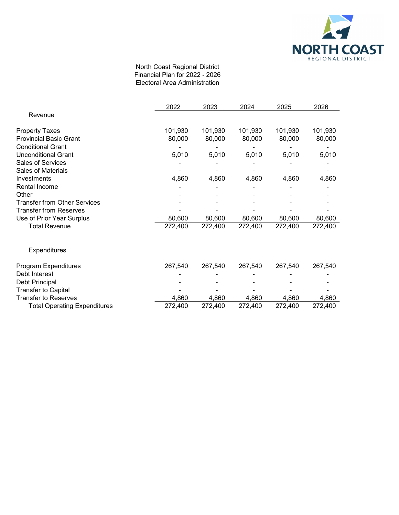

### North Coast Regional District Financial Plan for 2022 - 2026 Electoral Area Administration

|                                     | 2022    | 2023    | 2024    | 2025    | 2026    |
|-------------------------------------|---------|---------|---------|---------|---------|
| Revenue                             |         |         |         |         |         |
| <b>Property Taxes</b>               | 101,930 | 101,930 | 101,930 | 101,930 | 101,930 |
| <b>Provincial Basic Grant</b>       | 80,000  | 80,000  | 80,000  | 80,000  | 80,000  |
| <b>Conditional Grant</b>            |         |         |         |         |         |
| <b>Unconditional Grant</b>          | 5,010   | 5,010   | 5,010   | 5,010   | 5,010   |
| <b>Sales of Services</b>            |         |         |         |         |         |
| Sales of Materials                  |         |         |         |         |         |
| Investments                         | 4,860   | 4,860   | 4,860   | 4,860   | 4,860   |
| Rental Income                       |         |         |         |         |         |
| Other                               |         |         |         |         |         |
| <b>Transfer from Other Services</b> |         |         |         |         |         |
| <b>Transfer from Reserves</b>       |         |         |         |         |         |
| Use of Prior Year Surplus           | 80,600  | 80,600  | 80,600  | 80,600  | 80,600  |
| <b>Total Revenue</b>                | 272,400 | 272,400 | 272,400 | 272,400 | 272,400 |
| <b>Expenditures</b>                 |         |         |         |         |         |
| Program Expenditures                | 267,540 | 267,540 | 267,540 | 267,540 | 267,540 |
| Debt Interest                       |         |         |         |         |         |
| Debt Principal                      |         |         |         |         |         |
| <b>Transfer to Capital</b>          |         |         |         |         |         |
| <b>Transfer to Reserves</b>         | 4,860   | 4,860   | 4,860   | 4,860   | 4,860   |
| <b>Total Operating Expenditures</b> | 272,400 | 272,400 | 272,400 | 272,400 | 272,400 |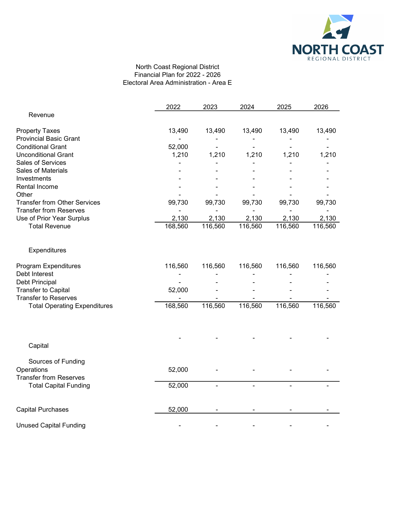

## North Coast Regional District Financial Plan for 2022 - 2026 Electoral Area Administration - Area E

|                                     | 2022    | 2023    | 2024    | 2025    | 2026    |
|-------------------------------------|---------|---------|---------|---------|---------|
| Revenue                             |         |         |         |         |         |
| <b>Property Taxes</b>               | 13,490  | 13,490  | 13,490  | 13,490  | 13,490  |
| <b>Provincial Basic Grant</b>       |         |         |         |         |         |
| <b>Conditional Grant</b>            | 52,000  |         |         |         |         |
| <b>Unconditional Grant</b>          | 1,210   | 1,210   | 1,210   | 1,210   | 1,210   |
| Sales of Services                   |         |         |         |         |         |
| <b>Sales of Materials</b>           |         |         |         |         |         |
| Investments                         |         |         |         |         |         |
| Rental Income                       |         |         |         |         |         |
| Other                               |         |         |         |         |         |
| <b>Transfer from Other Services</b> | 99,730  | 99,730  | 99,730  | 99,730  | 99,730  |
| <b>Transfer from Reserves</b>       |         |         |         |         |         |
| Use of Prior Year Surplus           | 2,130   | 2,130   | 2,130   | 2,130   | 2,130   |
| <b>Total Revenue</b>                | 168,560 | 116,560 | 116,560 | 116,560 | 116,560 |
| Expenditures                        |         |         |         |         |         |
| Program Expenditures                | 116,560 | 116,560 | 116,560 | 116,560 | 116,560 |
| Debt Interest                       |         |         |         |         |         |
| Debt Principal                      |         |         |         |         |         |
| <b>Transfer to Capital</b>          | 52,000  |         |         |         |         |
| <b>Transfer to Reserves</b>         |         |         |         |         |         |
| <b>Total Operating Expenditures</b> | 168,560 | 116,560 | 116,560 | 116,560 | 116,560 |
|                                     |         |         |         |         |         |
| Capital                             |         |         |         |         |         |
| Sources of Funding                  |         |         |         |         |         |
| Operations                          | 52,000  |         |         |         |         |
| <b>Transfer from Reserves</b>       |         |         |         |         |         |
| <b>Total Capital Funding</b>        | 52,000  |         |         |         |         |
| <b>Capital Purchases</b>            | 52,000  |         |         |         |         |
| <b>Unused Capital Funding</b>       |         |         |         |         |         |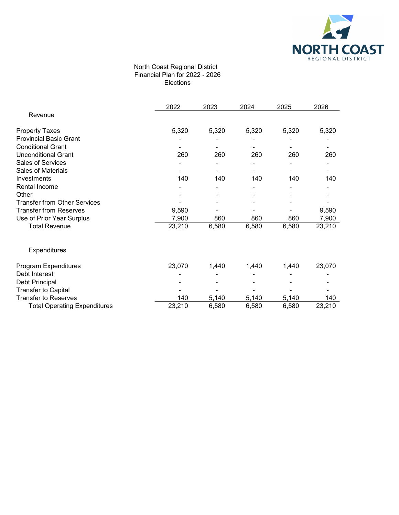

#### North Coast Regional District Financial Plan for 2022 - 2026 Elections

|                                     | 2022   | 2023  | 2024  | 2025  | 2026   |
|-------------------------------------|--------|-------|-------|-------|--------|
| Revenue                             |        |       |       |       |        |
| <b>Property Taxes</b>               | 5,320  | 5,320 | 5,320 | 5,320 | 5,320  |
| <b>Provincial Basic Grant</b>       |        |       |       |       |        |
| <b>Conditional Grant</b>            |        |       |       |       |        |
| <b>Unconditional Grant</b>          | 260    | 260   | 260   | 260   | 260    |
| Sales of Services                   |        |       |       |       |        |
| <b>Sales of Materials</b>           |        |       |       |       |        |
| Investments                         | 140    | 140   | 140   | 140   | 140    |
| Rental Income                       |        |       |       |       |        |
| Other                               |        |       |       |       |        |
| <b>Transfer from Other Services</b> |        |       |       |       |        |
| <b>Transfer from Reserves</b>       | 9,590  |       |       |       | 9,590  |
| Use of Prior Year Surplus           | 7,900  | 860   | 860   | 860   | 7,900  |
| <b>Total Revenue</b>                | 23,210 | 6,580 | 6,580 | 6,580 | 23,210 |
| Expenditures                        |        |       |       |       |        |
| Program Expenditures                | 23,070 | 1,440 | 1,440 | 1,440 | 23,070 |
| Debt Interest                       |        |       |       |       |        |
| Debt Principal                      |        |       |       |       |        |
| <b>Transfer to Capital</b>          |        |       |       |       |        |
| <b>Transfer to Reserves</b>         | 140    | 5,140 | 5,140 | 5,140 | 140    |
| <b>Total Operating Expenditures</b> | 23,210 | 6,580 | 6,580 | 6,580 | 23,210 |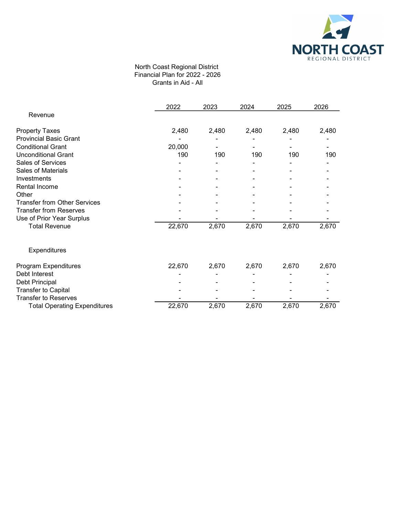

### North Coast Regional District Financial Plan for 2022 - 2026 Grants in Aid - All

|                                     | 2022   | 2023  | 2024  | 2025  | 2026  |
|-------------------------------------|--------|-------|-------|-------|-------|
| Revenue                             |        |       |       |       |       |
| <b>Property Taxes</b>               | 2,480  | 2,480 | 2,480 | 2,480 | 2,480 |
| <b>Provincial Basic Grant</b>       |        |       |       |       |       |
| <b>Conditional Grant</b>            | 20,000 |       |       |       |       |
| <b>Unconditional Grant</b>          | 190    | 190   | 190   | 190   | 190   |
| Sales of Services                   |        |       |       |       |       |
| <b>Sales of Materials</b>           |        |       |       |       |       |
| Investments                         |        |       |       |       |       |
| Rental Income                       |        |       |       |       |       |
| Other                               |        |       |       |       |       |
| <b>Transfer from Other Services</b> |        |       |       |       |       |
| <b>Transfer from Reserves</b>       |        |       |       |       |       |
| Use of Prior Year Surplus           |        |       |       |       |       |
| <b>Total Revenue</b>                | 22,670 | 2,670 | 2,670 | 2,670 | 2,670 |
| Expenditures                        |        |       |       |       |       |
| Program Expenditures                | 22,670 | 2,670 | 2,670 | 2,670 | 2,670 |
| Debt Interest                       |        |       |       |       |       |
| Debt Principal                      |        |       |       |       |       |
| <b>Transfer to Capital</b>          |        |       |       |       |       |
| <b>Transfer to Reserves</b>         |        |       |       |       |       |
| <b>Total Operating Expenditures</b> | 22,670 | 2,670 | 2,670 | 2,670 | 2,670 |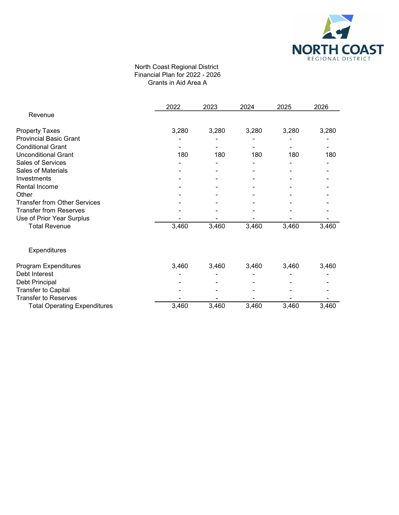

### North Coast Regional District Financial Plan for 2022 - 2026 Grants in Aid Area A

|                                     | 2022  | 2023  | 2024  | 2025  | 2026  |
|-------------------------------------|-------|-------|-------|-------|-------|
| Revenue                             |       |       |       |       |       |
| <b>Property Taxes</b>               | 3,280 | 3,280 | 3,280 | 3,280 | 3,280 |
| <b>Provincial Basic Grant</b>       |       |       |       |       |       |
| <b>Conditional Grant</b>            |       |       |       |       |       |
| <b>Unconditional Grant</b>          | 180   | 180   | 180   | 180   | 180   |
| Sales of Services                   |       |       |       |       |       |
| <b>Sales of Materials</b>           |       |       |       |       |       |
| Investments                         |       |       |       |       |       |
| Rental Income                       |       |       |       |       |       |
| Other                               |       |       |       |       |       |
| <b>Transfer from Other Services</b> |       |       |       |       |       |
| <b>Transfer from Reserves</b>       |       |       |       |       |       |
| Use of Prior Year Surplus           |       |       |       |       |       |
| <b>Total Revenue</b>                | 3,460 | 3,460 | 3,460 | 3,460 | 3,460 |
| Expenditures                        |       |       |       |       |       |
| Program Expenditures                | 3,460 | 3,460 | 3,460 | 3,460 | 3,460 |
| Debt Interest                       |       |       |       |       |       |
| Debt Principal                      |       |       |       |       |       |
| <b>Transfer to Capital</b>          |       |       |       |       |       |
| <b>Transfer to Reserves</b>         |       |       |       |       |       |
| <b>Total Operating Expenditures</b> | 3,460 | 3,460 | 3,460 | 3,460 | 3,460 |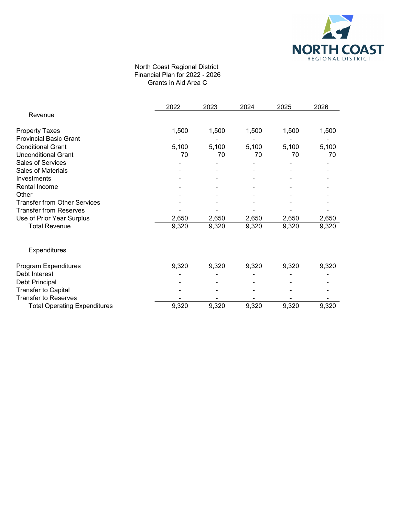

### North Coast Regional District Financial Plan for 2022 - 2026 Grants in Aid Area C

|                                     | 2022  | 2023  | 2024  | 2025  | 2026  |
|-------------------------------------|-------|-------|-------|-------|-------|
| Revenue                             |       |       |       |       |       |
| <b>Property Taxes</b>               | 1,500 | 1,500 | 1,500 | 1,500 | 1,500 |
| <b>Provincial Basic Grant</b>       |       |       |       |       |       |
| <b>Conditional Grant</b>            | 5,100 | 5,100 | 5,100 | 5,100 | 5,100 |
| <b>Unconditional Grant</b>          | 70    | 70    | 70    | 70    | 70    |
| Sales of Services                   |       |       |       |       |       |
| <b>Sales of Materials</b>           |       |       |       |       |       |
| Investments                         |       |       |       |       |       |
| Rental Income                       |       |       |       |       |       |
| Other                               |       |       |       |       |       |
| <b>Transfer from Other Services</b> |       |       |       |       |       |
| <b>Transfer from Reserves</b>       |       |       |       |       |       |
| Use of Prior Year Surplus           | 2,650 | 2,650 | 2,650 | 2,650 | 2,650 |
| <b>Total Revenue</b>                | 9,320 | 9,320 | 9,320 | 9,320 | 9,320 |
| Expenditures                        |       |       |       |       |       |
| Program Expenditures                | 9,320 | 9,320 | 9,320 | 9,320 | 9,320 |
| Debt Interest                       |       |       |       |       |       |
| Debt Principal                      |       |       |       |       |       |
| <b>Transfer to Capital</b>          |       |       |       |       |       |
| <b>Transfer to Reserves</b>         |       |       |       |       |       |
| <b>Total Operating Expenditures</b> | 9,320 | 9,320 | 9,320 | 9,320 | 9,320 |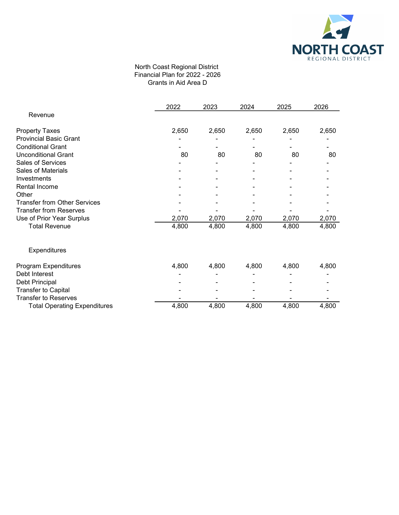

### North Coast Regional District Financial Plan for 2022 - 2026 Grants in Aid Area D

|                                     | 2022  | 2023  | 2024  | 2025  | 2026  |
|-------------------------------------|-------|-------|-------|-------|-------|
| Revenue                             |       |       |       |       |       |
| <b>Property Taxes</b>               | 2,650 | 2,650 | 2,650 | 2,650 | 2,650 |
| <b>Provincial Basic Grant</b>       |       |       |       |       |       |
| <b>Conditional Grant</b>            |       |       |       |       |       |
| <b>Unconditional Grant</b>          | 80    | 80    | 80    | 80    | 80    |
| Sales of Services                   |       |       |       |       |       |
| <b>Sales of Materials</b>           |       |       |       |       |       |
| Investments                         |       |       |       |       |       |
| Rental Income                       |       |       |       |       |       |
| Other                               |       |       |       |       |       |
| <b>Transfer from Other Services</b> |       |       |       |       |       |
| <b>Transfer from Reserves</b>       |       |       |       |       |       |
| Use of Prior Year Surplus           | 2,070 | 2,070 | 2,070 | 2,070 | 2,070 |
| <b>Total Revenue</b>                | 4,800 | 4,800 | 4,800 | 4,800 | 4,800 |
| Expenditures                        |       |       |       |       |       |
| Program Expenditures                | 4,800 | 4,800 | 4,800 | 4,800 | 4,800 |
| Debt Interest                       |       |       |       |       |       |
| Debt Principal                      |       |       |       |       |       |
| <b>Transfer to Capital</b>          |       |       |       |       |       |
| <b>Transfer to Reserves</b>         |       |       |       |       |       |
| <b>Total Operating Expenditures</b> | 4,800 | 4,800 | 4,800 | 4,800 | 4,800 |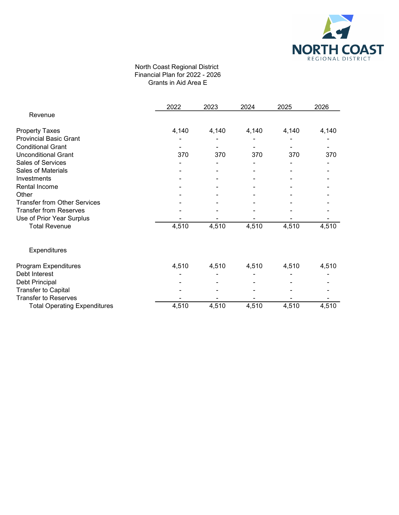

### North Coast Regional District Financial Plan for 2022 - 2026 Grants in Aid Area E

| 2022  | 2023  | 2024  | 2025  | 2026  |
|-------|-------|-------|-------|-------|
|       |       |       |       |       |
| 4,140 | 4,140 | 4,140 | 4,140 | 4,140 |
|       |       |       |       |       |
|       |       |       |       |       |
| 370   | 370   | 370   | 370   | 370   |
|       |       |       |       |       |
|       |       |       |       |       |
|       |       |       |       |       |
|       |       |       |       |       |
|       |       |       |       |       |
|       |       |       |       |       |
|       |       |       |       |       |
|       |       |       |       |       |
| 4,510 | 4,510 | 4,510 | 4,510 | 4,510 |
|       |       |       |       |       |
| 4,510 | 4,510 | 4,510 | 4,510 | 4,510 |
|       |       |       |       |       |
|       |       |       |       |       |
|       |       |       |       |       |
|       |       |       |       |       |
| 4,510 | 4,510 | 4,510 | 4,510 | 4,510 |
|       |       |       |       |       |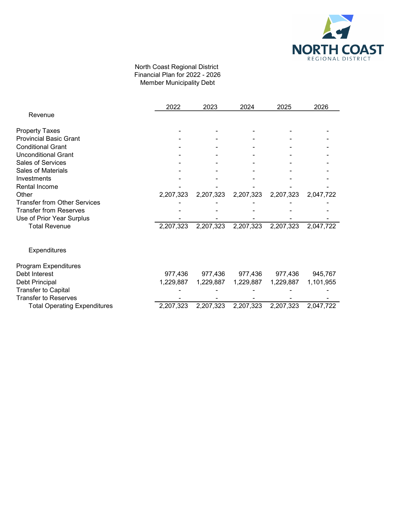

## North Coast Regional District Financial Plan for 2022 - 2026 Member Municipality Debt

|                                     | 2022      | 2023      | 2024      | 2025      | 2026      |
|-------------------------------------|-----------|-----------|-----------|-----------|-----------|
| Revenue                             |           |           |           |           |           |
| <b>Property Taxes</b>               |           |           |           |           |           |
| <b>Provincial Basic Grant</b>       |           |           |           |           |           |
| <b>Conditional Grant</b>            |           |           |           |           |           |
| <b>Unconditional Grant</b>          |           |           |           |           |           |
| Sales of Services                   |           |           |           |           |           |
| <b>Sales of Materials</b>           |           |           |           |           |           |
| Investments                         |           |           |           |           |           |
| Rental Income                       |           |           |           |           |           |
| Other                               | 2,207,323 | 2,207,323 | 2,207,323 | 2,207,323 | 2,047,722 |
| <b>Transfer from Other Services</b> |           |           |           |           |           |
| <b>Transfer from Reserves</b>       |           |           |           |           |           |
| Use of Prior Year Surplus           |           |           |           |           |           |
| <b>Total Revenue</b>                | 2,207,323 | 2,207,323 | 2,207,323 | 2,207,323 | 2,047,722 |
| Expenditures                        |           |           |           |           |           |
| Program Expenditures                |           |           |           |           |           |
| Debt Interest                       | 977,436   | 977,436   | 977,436   | 977,436   | 945,767   |
| Debt Principal                      | 1,229,887 | 1,229,887 | 1,229,887 | 1,229,887 | 1,101,955 |
| <b>Transfer to Capital</b>          |           |           |           |           |           |
| <b>Transfer to Reserves</b>         |           |           |           |           |           |
| <b>Total Operating Expenditures</b> | 2,207,323 | 2,207,323 | 2,207,323 | 2,207,323 | 2,047,722 |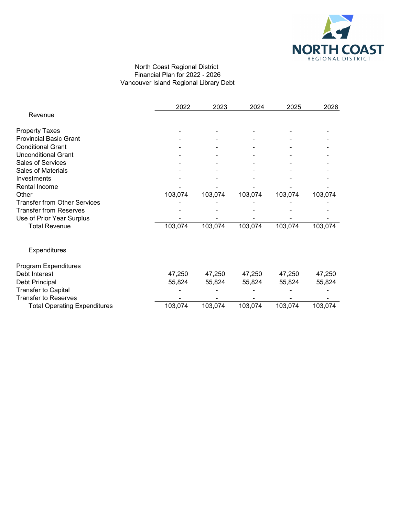

# North Coast Regional District Financial Plan for 2022 - 2026 Vancouver Island Regional Library Debt

|                                     | 2022    | 2023    | 2024    | 2025    | 2026    |
|-------------------------------------|---------|---------|---------|---------|---------|
| Revenue                             |         |         |         |         |         |
| <b>Property Taxes</b>               |         |         |         |         |         |
| <b>Provincial Basic Grant</b>       |         |         |         |         |         |
| <b>Conditional Grant</b>            |         |         |         |         |         |
| <b>Unconditional Grant</b>          |         |         |         |         |         |
| Sales of Services                   |         |         |         |         |         |
| Sales of Materials                  |         |         |         |         |         |
| Investments                         |         |         |         |         |         |
| Rental Income                       |         |         |         |         |         |
| Other                               | 103,074 | 103,074 | 103,074 | 103,074 | 103,074 |
| <b>Transfer from Other Services</b> |         |         |         |         |         |
| <b>Transfer from Reserves</b>       |         |         |         |         |         |
| Use of Prior Year Surplus           |         |         |         |         |         |
| <b>Total Revenue</b>                | 103,074 | 103,074 | 103,074 | 103,074 | 103,074 |
| Expenditures                        |         |         |         |         |         |
| Program Expenditures                |         |         |         |         |         |
| Debt Interest                       | 47,250  | 47,250  | 47,250  | 47,250  | 47,250  |
| Debt Principal                      | 55,824  | 55,824  | 55,824  | 55,824  | 55,824  |
| <b>Transfer to Capital</b>          |         |         |         |         |         |
| <b>Transfer to Reserves</b>         |         |         |         |         |         |
| <b>Total Operating Expenditures</b> | 103,074 | 103,074 | 103,074 | 103,074 | 103,074 |
|                                     |         |         |         |         |         |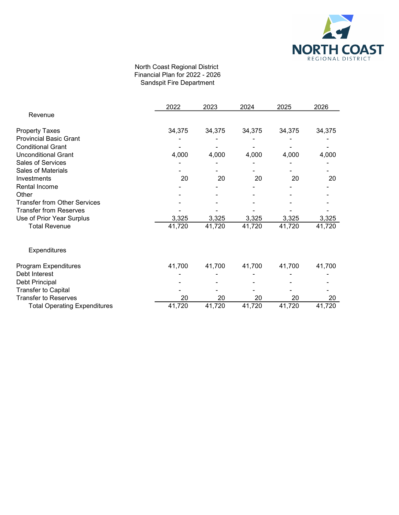

# North Coast Regional District Financial Plan for 2022 - 2026 Sandspit Fire Department

|                                     | 2022   | 2023   | 2024   | 2025   | 2026   |
|-------------------------------------|--------|--------|--------|--------|--------|
| Revenue                             |        |        |        |        |        |
| <b>Property Taxes</b>               | 34,375 | 34,375 | 34,375 | 34,375 | 34,375 |
| <b>Provincial Basic Grant</b>       |        |        |        |        |        |
| <b>Conditional Grant</b>            |        |        |        |        |        |
| <b>Unconditional Grant</b>          | 4,000  | 4,000  | 4,000  | 4,000  | 4,000  |
| Sales of Services                   |        |        |        |        |        |
| <b>Sales of Materials</b>           |        |        |        |        |        |
| Investments                         | 20     | 20     | 20     | 20     | 20     |
| Rental Income                       |        |        |        |        |        |
| Other                               |        |        |        |        |        |
| <b>Transfer from Other Services</b> |        |        |        |        |        |
| <b>Transfer from Reserves</b>       |        |        |        |        |        |
| Use of Prior Year Surplus           | 3,325  | 3,325  | 3,325  | 3,325  | 3,325  |
| <b>Total Revenue</b>                | 41,720 | 41,720 | 41,720 | 41,720 | 41,720 |
| Expenditures                        |        |        |        |        |        |
| Program Expenditures                | 41,700 | 41,700 | 41,700 | 41,700 | 41,700 |
| Debt Interest                       |        |        |        |        |        |
| Debt Principal                      |        |        |        |        |        |
| <b>Transfer to Capital</b>          |        |        |        |        |        |
| <b>Transfer to Reserves</b>         | 20     | 20     | 20     | 20     | 20     |
| <b>Total Operating Expenditures</b> | 41,720 | 41,720 | 41,720 | 41,720 | 41,720 |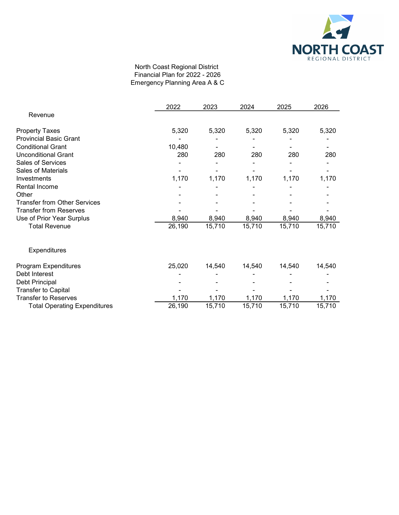

## North Coast Regional District Financial Plan for 2022 - 2026 Emergency Planning Area A & C

|                                     | 2022   | 2023   | 2024   | 2025   | 2026   |
|-------------------------------------|--------|--------|--------|--------|--------|
| Revenue                             |        |        |        |        |        |
| <b>Property Taxes</b>               | 5,320  | 5,320  | 5,320  | 5,320  | 5,320  |
| <b>Provincial Basic Grant</b>       |        |        |        |        |        |
| <b>Conditional Grant</b>            | 10,480 |        |        |        |        |
| <b>Unconditional Grant</b>          | 280    | 280    | 280    | 280    | 280    |
| <b>Sales of Services</b>            |        |        |        |        |        |
| Sales of Materials                  |        |        |        |        |        |
| Investments                         | 1,170  | 1,170  | 1,170  | 1,170  | 1,170  |
| Rental Income                       |        |        |        |        |        |
| Other                               |        |        |        |        |        |
| <b>Transfer from Other Services</b> |        |        |        |        |        |
| <b>Transfer from Reserves</b>       |        |        |        |        |        |
| Use of Prior Year Surplus           | 8,940  | 8,940  | 8,940  | 8,940  | 8,940  |
| <b>Total Revenue</b>                | 26,190 | 15,710 | 15,710 | 15,710 | 15,710 |
| Expenditures                        |        |        |        |        |        |
| Program Expenditures                | 25,020 | 14,540 | 14,540 | 14,540 | 14,540 |
| Debt Interest                       |        |        |        |        |        |
| Debt Principal                      |        |        |        |        |        |
| <b>Transfer to Capital</b>          |        |        |        |        |        |
| <b>Transfer to Reserves</b>         | 1,170  | 1,170  | 1,170  | 1,170  | 1,170  |
| <b>Total Operating Expenditures</b> | 26,190 | 15,710 | 15,710 | 15,710 | 15,710 |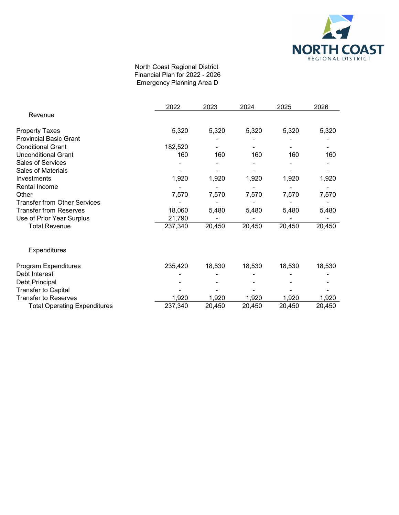

## North Coast Regional District Financial Plan for 2022 - 2026 Emergency Planning Area D

|                                     | 2022    | 2023   | 2024   | 2025   | 2026   |
|-------------------------------------|---------|--------|--------|--------|--------|
| Revenue                             |         |        |        |        |        |
| <b>Property Taxes</b>               | 5,320   | 5,320  | 5,320  | 5,320  | 5,320  |
| <b>Provincial Basic Grant</b>       |         |        |        |        |        |
| <b>Conditional Grant</b>            | 182,520 |        |        |        |        |
| <b>Unconditional Grant</b>          | 160     | 160    | 160    | 160    | 160    |
| Sales of Services                   |         |        |        |        |        |
| Sales of Materials                  |         |        |        |        |        |
| Investments                         | 1,920   | 1,920  | 1,920  | 1,920  | 1,920  |
| Rental Income                       |         |        |        |        |        |
| Other                               | 7,570   | 7,570  | 7,570  | 7,570  | 7,570  |
| <b>Transfer from Other Services</b> |         |        |        |        |        |
| <b>Transfer from Reserves</b>       | 18,060  | 5,480  | 5,480  | 5,480  | 5,480  |
| Use of Prior Year Surplus           | 21,790  |        |        |        |        |
| <b>Total Revenue</b>                | 237,340 | 20,450 | 20,450 | 20,450 | 20,450 |
| Expenditures                        |         |        |        |        |        |
| <b>Program Expenditures</b>         | 235,420 | 18,530 | 18,530 | 18,530 | 18,530 |
| Debt Interest                       |         |        |        |        |        |
| Debt Principal                      |         |        |        |        |        |
| <b>Transfer to Capital</b>          |         |        |        |        |        |
| <b>Transfer to Reserves</b>         | 1,920   | 1,920  | 1,920  | 1,920  | 1,920  |
| <b>Total Operating Expenditures</b> | 237,340 | 20,450 | 20,450 | 20,450 | 20,450 |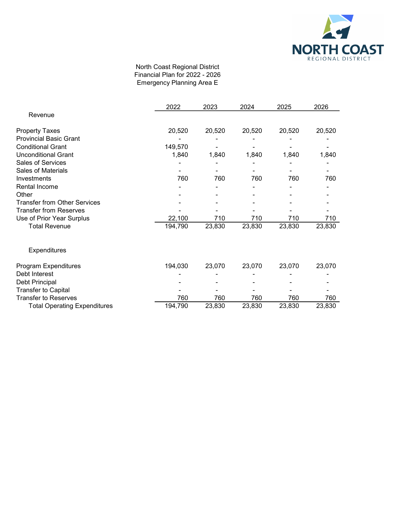

## North Coast Regional District Financial Plan for 2022 - 2026 Emergency Planning Area E

|                                     | 2022    | 2023   | 2024   | 2025   | 2026   |
|-------------------------------------|---------|--------|--------|--------|--------|
| Revenue                             |         |        |        |        |        |
| <b>Property Taxes</b>               | 20,520  | 20,520 | 20,520 | 20,520 | 20,520 |
| <b>Provincial Basic Grant</b>       |         |        |        |        |        |
| <b>Conditional Grant</b>            | 149,570 |        |        |        |        |
| <b>Unconditional Grant</b>          | 1,840   | 1,840  | 1,840  | 1,840  | 1,840  |
| Sales of Services                   |         |        |        |        |        |
| <b>Sales of Materials</b>           |         |        |        |        |        |
| Investments                         | 760     | 760    | 760    | 760    | 760    |
| Rental Income                       |         |        |        |        |        |
| Other                               |         |        |        |        |        |
| <b>Transfer from Other Services</b> |         |        |        |        |        |
| <b>Transfer from Reserves</b>       |         |        |        |        |        |
| Use of Prior Year Surplus           | 22,100  | 710    | 710    | 710    | 710    |
| <b>Total Revenue</b>                | 194,790 | 23,830 | 23,830 | 23,830 | 23,830 |
| Expenditures                        |         |        |        |        |        |
| Program Expenditures                | 194,030 | 23,070 | 23,070 | 23,070 | 23,070 |
| Debt Interest                       |         |        |        |        |        |
| Debt Principal                      |         |        |        |        |        |
| <b>Transfer to Capital</b>          |         |        |        |        |        |
| <b>Transfer to Reserves</b>         | 760     | 760    | 760    | 760    | 760    |
| <b>Total Operating Expenditures</b> | 194,790 | 23,830 | 23,830 | 23,830 | 23,830 |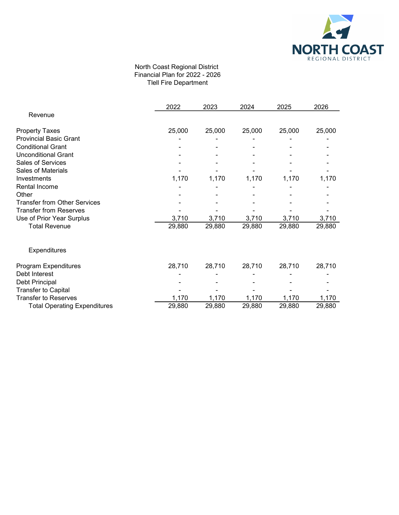

# North Coast Regional District Financial Plan for 2022 - 2026 Tlell Fire Department

|                                     | 2022   | 2023   | 2024   | 2025   | 2026   |
|-------------------------------------|--------|--------|--------|--------|--------|
| Revenue                             |        |        |        |        |        |
| <b>Property Taxes</b>               | 25,000 | 25,000 | 25,000 | 25,000 | 25,000 |
| <b>Provincial Basic Grant</b>       |        |        |        |        |        |
| <b>Conditional Grant</b>            |        |        |        |        |        |
| <b>Unconditional Grant</b>          |        |        |        |        |        |
| Sales of Services                   |        |        |        |        |        |
| <b>Sales of Materials</b>           |        |        |        |        |        |
| Investments                         | 1,170  | 1,170  | 1,170  | 1,170  | 1,170  |
| Rental Income                       |        |        |        |        |        |
| Other                               |        |        |        |        |        |
| <b>Transfer from Other Services</b> |        |        |        |        |        |
| <b>Transfer from Reserves</b>       |        |        |        |        |        |
| Use of Prior Year Surplus           | 3,710  | 3,710  | 3,710  | 3,710  | 3,710  |
| <b>Total Revenue</b>                | 29,880 | 29,880 | 29,880 | 29,880 | 29,880 |
| <b>Expenditures</b>                 |        |        |        |        |        |
| Program Expenditures                | 28,710 | 28,710 | 28,710 | 28,710 | 28,710 |
| Debt Interest                       |        |        |        |        |        |
| Debt Principal                      |        |        |        |        |        |
| <b>Transfer to Capital</b>          |        |        |        |        |        |
| <b>Transfer to Reserves</b>         | 1,170  | 1,170  | 1,170  | 1,170  | 1,170  |
| <b>Total Operating Expenditures</b> | 29,880 | 29,880 | 29,880 | 29,880 | 29,880 |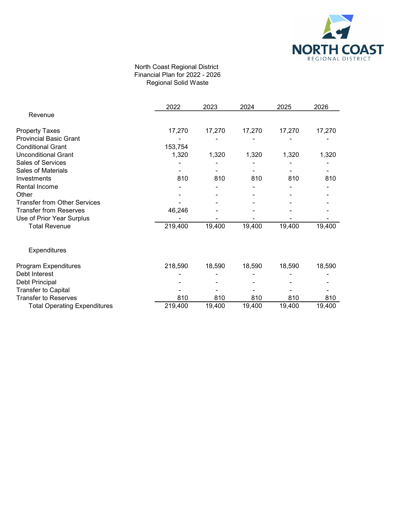

## North Coast Regional District Financial Plan for 2022 - 2026 Regional Solid Waste

|                                     | 2022    | 2023   | 2024   | 2025   | 2026   |
|-------------------------------------|---------|--------|--------|--------|--------|
| Revenue                             |         |        |        |        |        |
| <b>Property Taxes</b>               | 17,270  | 17,270 | 17,270 | 17,270 | 17,270 |
| <b>Provincial Basic Grant</b>       |         |        |        |        |        |
| <b>Conditional Grant</b>            | 153,754 |        |        |        |        |
| <b>Unconditional Grant</b>          | 1,320   | 1,320  | 1,320  | 1,320  | 1,320  |
| Sales of Services                   |         |        |        |        |        |
| Sales of Materials                  |         |        |        |        |        |
| Investments                         | 810     | 810    | 810    | 810    | 810    |
| Rental Income                       |         |        |        |        |        |
| Other                               |         |        |        |        |        |
| <b>Transfer from Other Services</b> |         |        |        |        |        |
| <b>Transfer from Reserves</b>       | 46,246  |        |        |        |        |
| Use of Prior Year Surplus           |         |        |        |        |        |
| <b>Total Revenue</b>                | 219,400 | 19,400 | 19,400 | 19,400 | 19,400 |
| Expenditures                        |         |        |        |        |        |
| Program Expenditures                | 218,590 | 18,590 | 18,590 | 18,590 | 18,590 |
| Debt Interest                       |         |        |        |        |        |
| Debt Principal                      |         |        |        |        |        |
| <b>Transfer to Capital</b>          |         |        |        |        |        |
| <b>Transfer to Reserves</b>         | 810     | 810    | 810    | 810    | 810    |
| <b>Total Operating Expenditures</b> | 219,400 | 19,400 | 19,400 | 19,400 | 19,400 |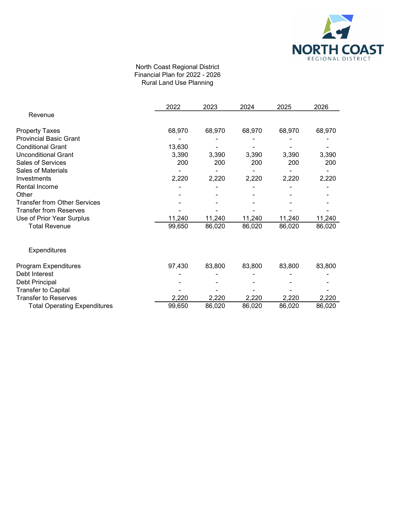

## North Coast Regional District Financial Plan for 2022 - 2026 Rural Land Use Planning

|                                     | 2022   | 2023   | 2024   | 2025   | 2026   |
|-------------------------------------|--------|--------|--------|--------|--------|
| Revenue                             |        |        |        |        |        |
| <b>Property Taxes</b>               | 68,970 | 68,970 | 68,970 | 68,970 | 68,970 |
| <b>Provincial Basic Grant</b>       |        |        |        |        |        |
| <b>Conditional Grant</b>            | 13,630 |        |        |        |        |
| <b>Unconditional Grant</b>          | 3,390  | 3,390  | 3,390  | 3,390  | 3,390  |
| Sales of Services                   | 200    | 200    | 200    | 200    | 200    |
| Sales of Materials                  |        |        |        |        |        |
| Investments                         | 2,220  | 2,220  | 2,220  | 2,220  | 2,220  |
| Rental Income                       |        |        |        |        |        |
| Other                               |        |        |        |        |        |
| <b>Transfer from Other Services</b> |        |        |        |        |        |
| <b>Transfer from Reserves</b>       |        |        |        |        |        |
| Use of Prior Year Surplus           | 11,240 | 11,240 | 11,240 | 11,240 | 11,240 |
| <b>Total Revenue</b>                | 99,650 | 86,020 | 86,020 | 86,020 | 86,020 |
| Expenditures                        |        |        |        |        |        |
| Program Expenditures                | 97,430 | 83,800 | 83,800 | 83,800 | 83,800 |
| Debt Interest                       |        |        |        |        |        |
| Debt Principal                      |        |        |        |        |        |
| <b>Transfer to Capital</b>          |        |        |        |        |        |
| <b>Transfer to Reserves</b>         | 2,220  | 2,220  | 2,220  | 2,220  | 2,220  |
| <b>Total Operating Expenditures</b> | 99,650 | 86,020 | 86,020 | 86,020 | 86,020 |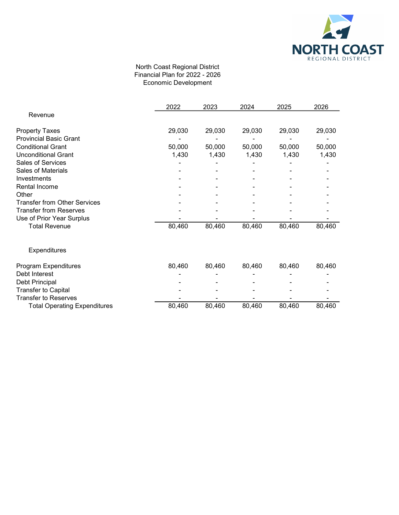

# North Coast Regional District Financial Plan for 2022 - 2026 Economic Development

|                                     | 2022   | 2023   | 2024   | 2025   | 2026   |
|-------------------------------------|--------|--------|--------|--------|--------|
| Revenue                             |        |        |        |        |        |
| <b>Property Taxes</b>               | 29,030 | 29,030 | 29,030 | 29,030 | 29,030 |
| <b>Provincial Basic Grant</b>       |        |        |        |        |        |
| <b>Conditional Grant</b>            | 50,000 | 50,000 | 50,000 | 50,000 | 50,000 |
| <b>Unconditional Grant</b>          | 1,430  | 1,430  | 1,430  | 1,430  | 1,430  |
| Sales of Services                   |        |        |        |        |        |
| Sales of Materials                  |        |        |        |        |        |
| Investments                         |        |        |        |        |        |
| Rental Income                       |        |        |        |        |        |
| Other                               |        |        |        |        |        |
| <b>Transfer from Other Services</b> |        |        |        |        |        |
| <b>Transfer from Reserves</b>       |        |        |        |        |        |
| Use of Prior Year Surplus           |        |        |        |        |        |
| <b>Total Revenue</b>                | 80,460 | 80,460 | 80,460 | 80,460 | 80,460 |
|                                     |        |        |        |        |        |
| <b>Expenditures</b>                 |        |        |        |        |        |
| Program Expenditures                | 80,460 | 80,460 | 80,460 | 80,460 | 80,460 |
| Debt Interest                       |        |        |        |        |        |
| Debt Principal                      |        |        |        |        |        |
| <b>Transfer to Capital</b>          |        |        |        |        |        |
| <b>Transfer to Reserves</b>         |        |        |        |        |        |
| <b>Total Operating Expenditures</b> | 80,460 | 80,460 | 80,460 | 80,460 | 80,460 |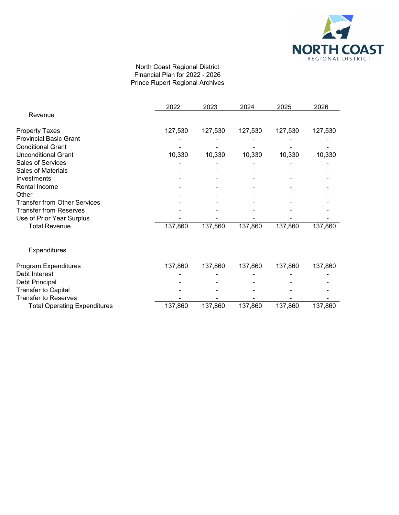

# North Coast Regional District Financial Plan for 2022 - 2026 Prince Rupert Regional Archives

|                                     | 2022    | 2023    | 2024    | 2025    | 2026    |
|-------------------------------------|---------|---------|---------|---------|---------|
| Revenue                             |         |         |         |         |         |
| <b>Property Taxes</b>               | 127,530 | 127,530 | 127,530 | 127,530 | 127,530 |
| <b>Provincial Basic Grant</b>       |         |         |         |         |         |
| <b>Conditional Grant</b>            |         |         |         |         |         |
| <b>Unconditional Grant</b>          | 10,330  | 10,330  | 10,330  | 10,330  | 10,330  |
| Sales of Services                   |         |         |         |         |         |
| Sales of Materials                  |         |         |         |         |         |
| Investments                         |         |         |         |         |         |
| Rental Income                       |         |         |         |         |         |
| Other                               |         |         |         |         |         |
| <b>Transfer from Other Services</b> |         |         |         |         |         |
| <b>Transfer from Reserves</b>       |         |         |         |         |         |
| Use of Prior Year Surplus           |         |         |         |         |         |
| <b>Total Revenue</b>                | 137,860 | 137,860 | 137,860 | 137,860 | 137,860 |
| Expenditures                        |         |         |         |         |         |
| Program Expenditures                | 137,860 | 137,860 | 137,860 | 137,860 | 137,860 |
| Debt Interest                       |         |         |         |         |         |
| Debt Principal                      |         |         |         |         |         |
| <b>Transfer to Capital</b>          |         |         |         |         |         |
| <b>Transfer to Reserves</b>         |         |         |         |         |         |
| <b>Total Operating Expenditures</b> | 137,860 | 137,860 | 137,860 | 137,860 | 137,860 |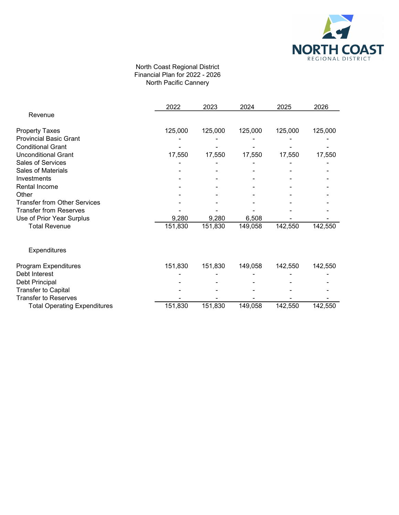

### North Coast Regional District Financial Plan for 2022 - 2026 North Pacific Cannery

|                                     | 2022    | 2023    | 2024    | 2025    | 2026    |
|-------------------------------------|---------|---------|---------|---------|---------|
| Revenue                             |         |         |         |         |         |
| <b>Property Taxes</b>               | 125,000 | 125,000 | 125,000 | 125,000 | 125,000 |
| <b>Provincial Basic Grant</b>       |         |         |         |         |         |
| <b>Conditional Grant</b>            |         |         |         |         |         |
| <b>Unconditional Grant</b>          | 17,550  | 17,550  | 17,550  | 17,550  | 17,550  |
| Sales of Services                   |         |         |         |         |         |
| Sales of Materials                  |         |         |         |         |         |
| Investments                         |         |         |         |         |         |
| Rental Income                       |         |         |         |         |         |
| Other                               |         |         |         |         |         |
| <b>Transfer from Other Services</b> |         |         |         |         |         |
| <b>Transfer from Reserves</b>       |         |         |         |         |         |
| Use of Prior Year Surplus           | 9,280   | 9,280   | 6,508   |         |         |
| <b>Total Revenue</b>                | 151,830 | 151,830 | 149,058 | 142,550 | 142,550 |
| Expenditures                        |         |         |         |         |         |
| Program Expenditures                | 151,830 | 151,830 | 149,058 | 142,550 | 142,550 |
| Debt Interest                       |         |         |         |         |         |
| Debt Principal                      |         |         |         |         |         |
| <b>Transfer to Capital</b>          |         |         |         |         |         |
| <b>Transfer to Reserves</b>         |         |         |         |         |         |
| <b>Total Operating Expenditures</b> | 151,830 | 151,830 | 149,058 | 142,550 | 142,550 |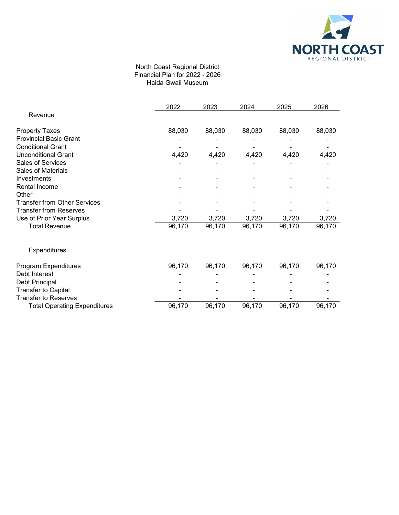

### North Coast Regional District Financial Plan for 2022 - 2026 Haida Gwaii Museum

|                                     | 2022   | 2023   | 2024   | 2025   | 2026   |
|-------------------------------------|--------|--------|--------|--------|--------|
| Revenue                             |        |        |        |        |        |
| <b>Property Taxes</b>               | 88,030 | 88,030 | 88,030 | 88,030 | 88,030 |
| <b>Provincial Basic Grant</b>       |        |        |        |        |        |
| <b>Conditional Grant</b>            |        |        |        |        |        |
| <b>Unconditional Grant</b>          | 4,420  | 4,420  | 4,420  | 4,420  | 4,420  |
| Sales of Services                   |        |        |        |        |        |
| <b>Sales of Materials</b>           |        |        |        |        |        |
| Investments                         |        |        |        |        |        |
| Rental Income                       |        |        |        |        |        |
| Other                               |        |        |        |        |        |
| <b>Transfer from Other Services</b> |        |        |        |        |        |
| <b>Transfer from Reserves</b>       |        |        |        |        |        |
| Use of Prior Year Surplus           | 3,720  | 3,720  | 3,720  | 3,720  | 3,720  |
| <b>Total Revenue</b>                | 96,170 | 96,170 | 96,170 | 96,170 | 96,170 |
| Expenditures                        |        |        |        |        |        |
| Program Expenditures                | 96,170 | 96,170 | 96,170 | 96,170 | 96,170 |
| Debt Interest                       |        |        |        |        |        |
| Debt Principal                      |        |        |        |        |        |
| <b>Transfer to Capital</b>          |        |        |        |        |        |
| <b>Transfer to Reserves</b>         |        |        |        |        |        |
| <b>Total Operating Expenditures</b> | 96,170 | 96,170 | 96,170 | 96,170 | 96,170 |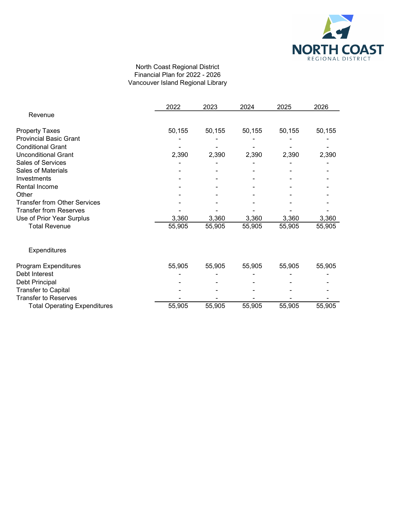

# North Coast Regional District Financial Plan for 2022 - 2026 Vancouver Island Regional Library

|                                     | 2022   | 2023   | 2024   | 2025   | 2026   |
|-------------------------------------|--------|--------|--------|--------|--------|
| Revenue                             |        |        |        |        |        |
| <b>Property Taxes</b>               | 50,155 | 50,155 | 50,155 | 50,155 | 50,155 |
| <b>Provincial Basic Grant</b>       |        |        |        |        |        |
| <b>Conditional Grant</b>            |        |        |        |        |        |
| <b>Unconditional Grant</b>          | 2,390  | 2,390  | 2,390  | 2,390  | 2,390  |
| Sales of Services                   |        |        |        |        |        |
| Sales of Materials                  |        |        |        |        |        |
| Investments                         |        |        |        |        |        |
| Rental Income                       |        |        |        |        |        |
| Other                               |        |        |        |        |        |
| <b>Transfer from Other Services</b> |        |        |        |        |        |
| <b>Transfer from Reserves</b>       |        |        |        |        |        |
| Use of Prior Year Surplus           | 3,360  | 3,360  | 3,360  | 3,360  | 3,360  |
| <b>Total Revenue</b>                | 55,905 | 55,905 | 55,905 | 55,905 | 55,905 |
| Expenditures                        |        |        |        |        |        |
| Program Expenditures                | 55,905 | 55,905 | 55,905 | 55,905 | 55,905 |
| Debt Interest                       |        |        |        |        |        |
| Debt Principal                      |        |        |        |        |        |
| <b>Transfer to Capital</b>          |        |        |        |        |        |
| <b>Transfer to Reserves</b>         |        |        |        |        |        |
| <b>Total Operating Expenditures</b> | 55,905 | 55,905 | 55,905 | 55,905 | 55,905 |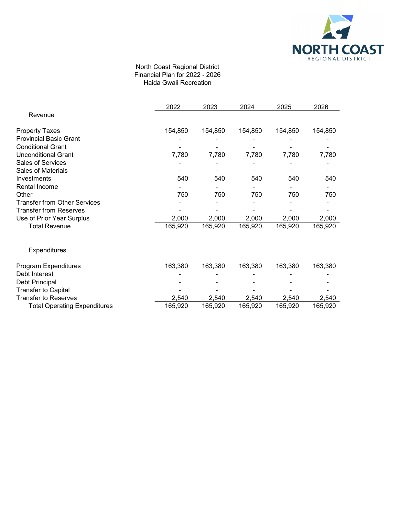

### North Coast Regional District Financial Plan for 2022 - 2026 Haida Gwaii Recreation

|                                     | 2022    | 2023    | 2024    | 2025    | 2026    |
|-------------------------------------|---------|---------|---------|---------|---------|
| Revenue                             |         |         |         |         |         |
| <b>Property Taxes</b>               | 154,850 | 154,850 | 154,850 | 154,850 | 154,850 |
| <b>Provincial Basic Grant</b>       |         |         |         |         |         |
| <b>Conditional Grant</b>            |         |         |         |         |         |
| <b>Unconditional Grant</b>          | 7,780   | 7,780   | 7,780   | 7,780   | 7,780   |
| <b>Sales of Services</b>            |         |         |         |         |         |
| Sales of Materials                  |         |         |         |         |         |
| Investments                         | 540     | 540     | 540     | 540     | 540     |
| Rental Income                       |         |         |         |         |         |
| Other                               | 750     | 750     | 750     | 750     | 750     |
| <b>Transfer from Other Services</b> |         |         |         |         |         |
| <b>Transfer from Reserves</b>       |         |         |         |         |         |
| Use of Prior Year Surplus           | 2,000   | 2,000   | 2,000   | 2,000   | 2,000   |
| <b>Total Revenue</b>                | 165,920 | 165,920 | 165,920 | 165,920 | 165,920 |
| <b>Expenditures</b>                 |         |         |         |         |         |
| Program Expenditures                | 163,380 | 163,380 | 163,380 | 163,380 | 163,380 |
| Debt Interest                       |         |         |         |         |         |
| Debt Principal                      |         |         |         |         |         |
| <b>Transfer to Capital</b>          |         |         |         |         |         |
| <b>Transfer to Reserves</b>         | 2,540   | 2,540   | 2,540   | 2,540   | 2,540   |
| <b>Total Operating Expenditures</b> | 165,920 | 165,920 | 165,920 | 165,920 | 165,920 |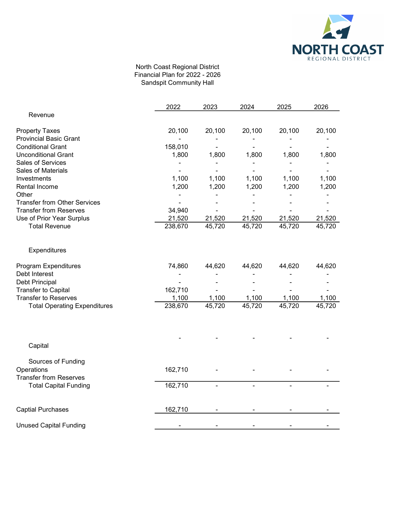

## North Coast Regional District Financial Plan for 2022 - 2026 Sandspit Community Hall

|                                     | 2022    | 2023   | 2024   | 2025   | 2026   |
|-------------------------------------|---------|--------|--------|--------|--------|
| Revenue                             |         |        |        |        |        |
| <b>Property Taxes</b>               | 20,100  | 20,100 | 20,100 | 20,100 | 20,100 |
| <b>Provincial Basic Grant</b>       |         |        |        |        |        |
| <b>Conditional Grant</b>            | 158,010 |        |        |        |        |
| <b>Unconditional Grant</b>          | 1,800   | 1,800  | 1,800  | 1,800  | 1,800  |
| Sales of Services                   |         |        |        |        |        |
| Sales of Materials                  |         |        |        |        |        |
| Investments                         | 1,100   | 1,100  | 1,100  | 1,100  | 1,100  |
| Rental Income                       | 1,200   | 1,200  | 1,200  | 1,200  | 1,200  |
| Other                               |         |        |        |        |        |
| <b>Transfer from Other Services</b> |         |        |        |        |        |
| <b>Transfer from Reserves</b>       | 34,940  |        |        |        |        |
| Use of Prior Year Surplus           | 21,520  | 21,520 | 21,520 | 21,520 | 21,520 |
| <b>Total Revenue</b>                | 238,670 | 45,720 | 45,720 | 45,720 | 45,720 |
| Expenditures                        |         |        |        |        |        |
| Program Expenditures                | 74,860  | 44,620 | 44,620 | 44,620 | 44,620 |
| Debt Interest                       |         |        |        |        |        |
| Debt Principal                      |         |        |        |        |        |
| <b>Transfer to Capital</b>          | 162,710 |        |        |        |        |
| <b>Transfer to Reserves</b>         | 1,100   | 1,100  | 1,100  | 1,100  | 1,100  |
| <b>Total Operating Expenditures</b> | 238,670 | 45,720 | 45,720 | 45,720 | 45,720 |
|                                     |         |        |        |        |        |
| Capital                             |         |        |        |        |        |
| Sources of Funding                  |         |        |        |        |        |
| Operations                          | 162,710 |        |        |        |        |
| <b>Transfer from Reserves</b>       |         |        |        |        |        |
| <b>Total Capital Funding</b>        | 162,710 |        |        |        |        |
| <b>Captial Purchases</b>            | 162,710 |        |        |        |        |
| <b>Unused Capital Funding</b>       |         |        |        |        |        |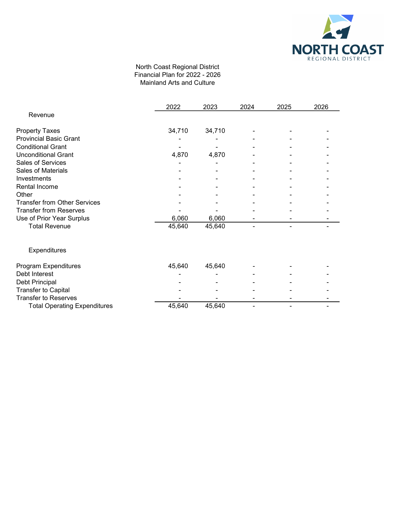

### North Coast Regional District Financial Plan for 2022 - 2026 Mainland Arts and Culture

|                                     | 2022   | 2023   | 2024 | 2025 | 2026 |
|-------------------------------------|--------|--------|------|------|------|
| Revenue                             |        |        |      |      |      |
| <b>Property Taxes</b>               | 34,710 | 34,710 |      |      |      |
| <b>Provincial Basic Grant</b>       |        |        |      |      |      |
| <b>Conditional Grant</b>            |        |        |      |      |      |
| <b>Unconditional Grant</b>          | 4,870  | 4,870  |      |      |      |
| Sales of Services                   |        |        |      |      |      |
| <b>Sales of Materials</b>           |        |        |      |      |      |
| Investments                         |        |        |      |      |      |
| Rental Income                       |        |        |      |      |      |
| Other                               |        |        |      |      |      |
| <b>Transfer from Other Services</b> |        |        |      |      |      |
| <b>Transfer from Reserves</b>       |        |        |      |      |      |
| Use of Prior Year Surplus           | 6,060  | 6,060  |      |      |      |
| <b>Total Revenue</b>                | 45,640 | 45,640 |      |      |      |
| Expenditures                        |        |        |      |      |      |
| Program Expenditures                | 45,640 | 45,640 |      |      |      |
| Debt Interest                       |        |        |      |      |      |
| Debt Principal                      |        |        |      |      |      |
| <b>Transfer to Capital</b>          |        |        |      |      |      |
| <b>Transfer to Reserves</b>         |        |        |      |      |      |
| <b>Total Operating Expenditures</b> | 45,640 | 45,640 |      |      |      |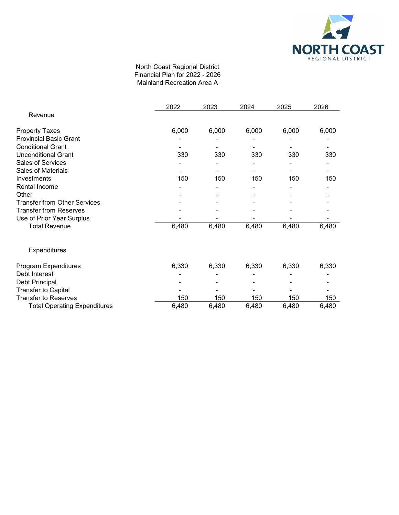

#### North Coast Regional District Financial Plan for 2022 - 2026 Mainland Recreation Area A

|                                     | 2022  | 2023  | 2024  | 2025  | 2026  |
|-------------------------------------|-------|-------|-------|-------|-------|
| Revenue                             |       |       |       |       |       |
| <b>Property Taxes</b>               | 6,000 | 6,000 | 6,000 | 6,000 | 6,000 |
| <b>Provincial Basic Grant</b>       |       |       |       |       |       |
| <b>Conditional Grant</b>            |       |       |       |       |       |
| <b>Unconditional Grant</b>          | 330   | 330   | 330   | 330   | 330   |
| Sales of Services                   |       |       |       |       |       |
| <b>Sales of Materials</b>           |       |       |       |       |       |
| Investments                         | 150   | 150   | 150   | 150   | 150   |
| Rental Income                       |       |       |       |       |       |
| Other                               |       |       |       |       |       |
| <b>Transfer from Other Services</b> |       |       |       |       |       |
| <b>Transfer from Reserves</b>       |       |       |       |       |       |
| Use of Prior Year Surplus           |       |       |       |       |       |
| <b>Total Revenue</b>                | 6,480 | 6,480 | 6,480 | 6,480 | 6,480 |
| Expenditures                        |       |       |       |       |       |
| Program Expenditures                | 6,330 | 6,330 | 6,330 | 6,330 | 6,330 |
| Debt Interest                       |       |       |       |       |       |
| Debt Principal                      |       |       |       |       |       |
| <b>Transfer to Capital</b>          |       |       |       |       |       |
| <b>Transfer to Reserves</b>         | 150   | 150   | 150   | 150   | 150   |
| <b>Total Operating Expenditures</b> | 6,480 | 6,480 | 6,480 | 6,480 | 6,480 |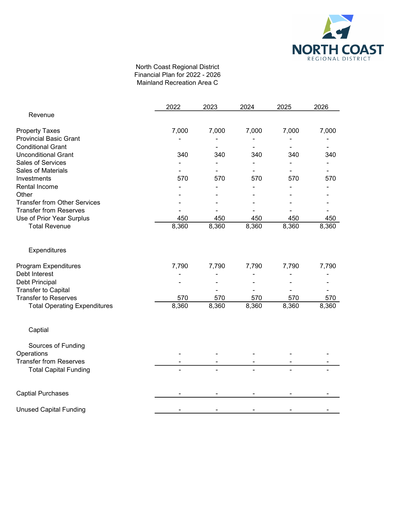

### North Coast Regional District Financial Plan for 2022 - 2026 Mainland Recreation Area C

|                                     | 2022  | 2023  | 2024  | 2025  | 2026  |
|-------------------------------------|-------|-------|-------|-------|-------|
| Revenue                             |       |       |       |       |       |
| <b>Property Taxes</b>               | 7,000 | 7,000 | 7,000 | 7,000 | 7,000 |
| <b>Provincial Basic Grant</b>       |       |       |       |       |       |
| <b>Conditional Grant</b>            |       |       |       |       |       |
| <b>Unconditional Grant</b>          | 340   | 340   | 340   | 340   | 340   |
| Sales of Services                   |       |       |       |       |       |
| Sales of Materials                  |       |       |       |       |       |
| Investments                         | 570   | 570   | 570   | 570   | 570   |
| Rental Income                       |       |       |       |       |       |
| Other                               |       |       |       |       |       |
| <b>Transfer from Other Services</b> |       |       |       |       |       |
| <b>Transfer from Reserves</b>       |       |       |       |       |       |
| Use of Prior Year Surplus           | 450   | 450   | 450   | 450   | 450   |
| <b>Total Revenue</b>                | 8,360 | 8,360 | 8,360 | 8,360 | 8,360 |
| Expenditures                        |       |       |       |       |       |
| Program Expenditures                | 7,790 | 7,790 | 7,790 | 7,790 | 7,790 |
| Debt Interest                       |       |       |       |       |       |
| Debt Principal                      |       |       |       |       |       |
| <b>Transfer to Capital</b>          |       |       |       |       |       |
| <b>Transfer to Reserves</b>         | 570   | 570   | 570   | 570   | 570   |
| <b>Total Operating Expenditures</b> | 8,360 | 8,360 | 8,360 | 8,360 | 8,360 |
| Captial                             |       |       |       |       |       |
| Sources of Funding                  |       |       |       |       |       |
| Operations                          |       |       |       |       |       |
| <b>Transfer from Reserves</b>       |       |       |       |       |       |
| <b>Total Capital Funding</b>        |       |       |       |       |       |
| <b>Captial Purchases</b>            |       |       |       |       |       |
| <b>Unused Capital Funding</b>       |       |       |       |       |       |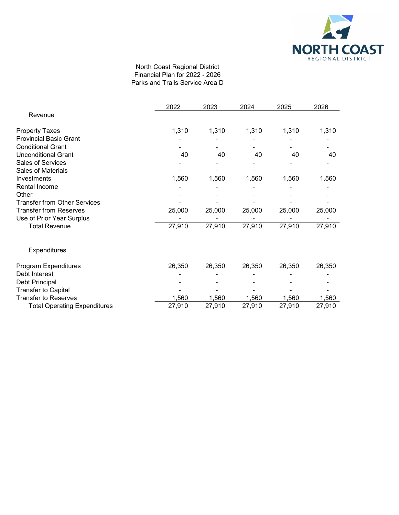

### North Coast Regional District Financial Plan for 2022 - 2026 Parks and Trails Service Area D

|                                     | 2022   | 2023   | 2024   | 2025   | 2026   |
|-------------------------------------|--------|--------|--------|--------|--------|
| Revenue                             |        |        |        |        |        |
| <b>Property Taxes</b>               | 1,310  | 1,310  | 1,310  | 1,310  | 1,310  |
| <b>Provincial Basic Grant</b>       |        |        |        |        |        |
| <b>Conditional Grant</b>            |        |        |        |        |        |
| <b>Unconditional Grant</b>          | 40     | 40     | 40     | 40     | 40     |
| <b>Sales of Services</b>            |        |        |        |        |        |
| Sales of Materials                  |        |        |        |        |        |
| Investments                         | 1,560  | 1,560  | 1,560  | 1,560  | 1,560  |
| Rental Income                       |        |        |        |        |        |
| Other                               |        |        |        |        |        |
| <b>Transfer from Other Services</b> |        |        |        |        |        |
| <b>Transfer from Reserves</b>       | 25,000 | 25,000 | 25,000 | 25,000 | 25,000 |
| Use of Prior Year Surplus           |        |        |        |        |        |
| <b>Total Revenue</b>                | 27,910 | 27,910 | 27,910 | 27,910 | 27,910 |
| <b>Expenditures</b>                 |        |        |        |        |        |
| Program Expenditures                | 26,350 | 26,350 | 26,350 | 26,350 | 26,350 |
| Debt Interest                       |        |        |        |        |        |
| Debt Principal                      |        |        |        |        |        |
| <b>Transfer to Capital</b>          |        |        |        |        |        |
| <b>Transfer to Reserves</b>         | 1,560  | 1,560  | 1,560  | 1,560  | 1,560  |
| <b>Total Operating Expenditures</b> | 27,910 | 27,910 | 27,910 | 27,910 | 27,910 |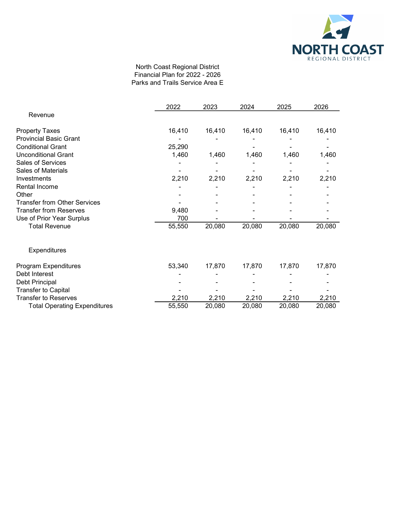

#### North Coast Regional District Financial Plan for 2022 - 2026 Parks and Trails Service Area E

|                                     | 2022   | 2023   | 2024   | 2025   | 2026   |
|-------------------------------------|--------|--------|--------|--------|--------|
| Revenue                             |        |        |        |        |        |
| <b>Property Taxes</b>               | 16,410 | 16,410 | 16,410 | 16,410 | 16,410 |
| <b>Provincial Basic Grant</b>       |        |        |        |        |        |
| <b>Conditional Grant</b>            | 25,290 |        |        |        |        |
| <b>Unconditional Grant</b>          | 1,460  | 1,460  | 1,460  | 1,460  | 1,460  |
| Sales of Services                   |        |        |        |        |        |
| Sales of Materials                  |        |        |        |        |        |
| Investments                         | 2,210  | 2,210  | 2,210  | 2,210  | 2,210  |
| Rental Income                       |        |        |        |        |        |
| Other                               |        |        |        |        |        |
| <b>Transfer from Other Services</b> |        |        |        |        |        |
| <b>Transfer from Reserves</b>       | 9,480  |        |        |        |        |
| Use of Prior Year Surplus           | 700    |        |        |        |        |
| <b>Total Revenue</b>                | 55,550 | 20,080 | 20,080 | 20,080 | 20,080 |
| <b>Expenditures</b>                 |        |        |        |        |        |
| Program Expenditures                | 53,340 | 17,870 | 17,870 | 17,870 | 17,870 |
| Debt Interest                       |        |        |        |        |        |
| Debt Principal                      |        |        |        |        |        |
| <b>Transfer to Capital</b>          |        |        |        |        |        |
| <b>Transfer to Reserves</b>         | 2,210  | 2,210  | 2,210  | 2,210  | 2,210  |
| <b>Total Operating Expenditures</b> | 55,550 | 20,080 | 20,080 | 20,080 | 20,080 |